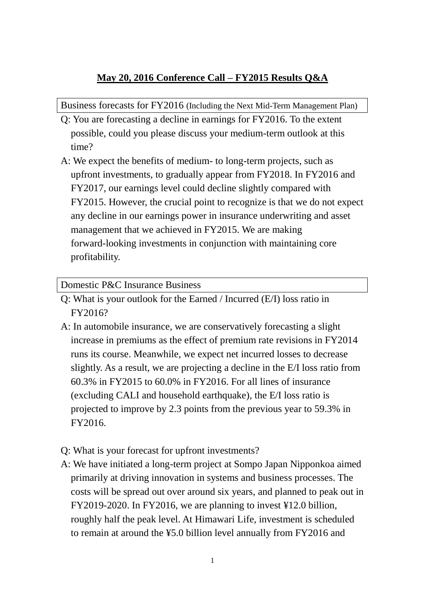## **May 20, 2016 Conference Call – FY2015 Results Q&A**

Business forecasts for FY2016 (Including the Next Mid-Term Management Plan)

- Q: You are forecasting a decline in earnings for FY2016. To the extent possible, could you please discuss your medium-term outlook at this time?
- A: We expect the benefits of medium- to long-term projects, such as upfront investments, to gradually appear from FY2018. In FY2016 and FY2017, our earnings level could decline slightly compared with FY2015. However, the crucial point to recognize is that we do not expect any decline in our earnings power in insurance underwriting and asset management that we achieved in FY2015. We are making forward-looking investments in conjunction with maintaining core profitability.

Domestic P&C Insurance Business

- Q: What is your outlook for the Earned / Incurred (E/I) loss ratio in FY2016?
- A: In automobile insurance, we are conservatively forecasting a slight increase in premiums as the effect of premium rate revisions in FY2014 runs its course. Meanwhile, we expect net incurred losses to decrease slightly. As a result, we are projecting a decline in the E/I loss ratio from 60.3% in FY2015 to 60.0% in FY2016. For all lines of insurance (excluding CALI and household earthquake), the E/I loss ratio is projected to improve by 2.3 points from the previous year to 59.3% in FY2016.
- Q: What is your forecast for upfront investments?
- A: We have initiated a long-term project at Sompo Japan Nipponkoa aimed primarily at driving innovation in systems and business processes. The costs will be spread out over around six years, and planned to peak out in FY2019-2020. In FY2016, we are planning to invest ¥12.0 billion, roughly half the peak level. At Himawari Life, investment is scheduled to remain at around the ¥5.0 billion level annually from FY2016 and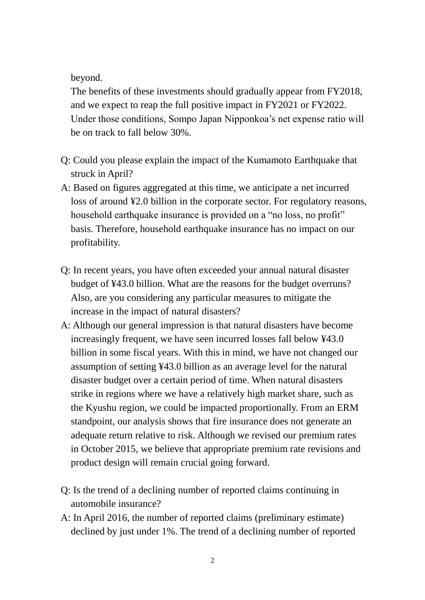beyond.

The benefits of these investments should gradually appear from FY2018, and we expect to reap the full positive impact in FY2021 or FY2022. Under those conditions, Sompo Japan Nipponkoa's net expense ratio will be on track to fall below 30%.

- Q: Could you please explain the impact of the Kumamoto Earthquake that struck in April?
- A: Based on figures aggregated at this time, we anticipate a net incurred loss of around ¥2.0 billion in the corporate sector. For regulatory reasons, household earthquake insurance is provided on a "no loss, no profit" basis. Therefore, household earthquake insurance has no impact on our profitability.
- Q: In recent years, you have often exceeded your annual natural disaster budget of ¥43.0 billion. What are the reasons for the budget overruns? Also, are you considering any particular measures to mitigate the increase in the impact of natural disasters?
- A: Although our general impression is that natural disasters have become increasingly frequent, we have seen incurred losses fall below ¥43.0 billion in some fiscal years. With this in mind, we have not changed our assumption of setting ¥43.0 billion as an average level for the natural disaster budget over a certain period of time. When natural disasters strike in regions where we have a relatively high market share, such as the Kyushu region, we could be impacted proportionally. From an ERM standpoint, our analysis shows that fire insurance does not generate an adequate return relative to risk. Although we revised our premium rates in October 2015, we believe that appropriate premium rate revisions and product design will remain crucial going forward.
- Q: Is the trend of a declining number of reported claims continuing in automobile insurance?
- A: In April 2016, the number of reported claims (preliminary estimate) declined by just under 1%. The trend of a declining number of reported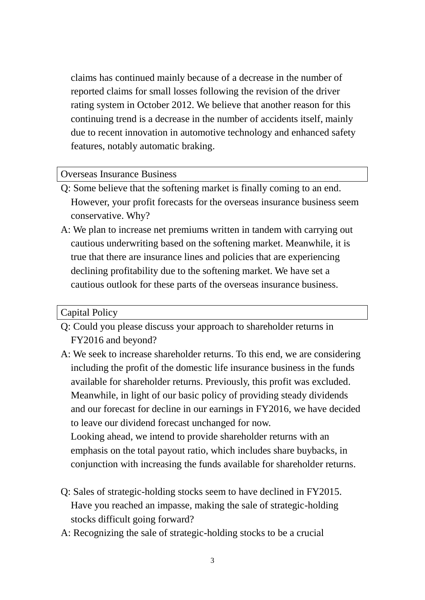claims has continued mainly because of a decrease in the number of reported claims for small losses following the revision of the driver rating system in October 2012. We believe that another reason for this continuing trend is a decrease in the number of accidents itself, mainly due to recent innovation in automotive technology and enhanced safety features, notably automatic braking.

## Overseas Insurance Business

- Q: Some believe that the softening market is finally coming to an end. However, your profit forecasts for the overseas insurance business seem conservative. Why?
- A: We plan to increase net premiums written in tandem with carrying out cautious underwriting based on the softening market. Meanwhile, it is true that there are insurance lines and policies that are experiencing declining profitability due to the softening market. We have set a cautious outlook for these parts of the overseas insurance business.

## Capital Policy

- Q: Could you please discuss your approach to shareholder returns in FY2016 and beyond?
- A: We seek to increase shareholder returns. To this end, we are considering including the profit of the domestic life insurance business in the funds available for shareholder returns. Previously, this profit was excluded. Meanwhile, in light of our basic policy of providing steady dividends and our forecast for decline in our earnings in FY2016, we have decided to leave our dividend forecast unchanged for now. Looking ahead, we intend to provide shareholder returns with an emphasis on the total payout ratio, which includes share buybacks, in conjunction with increasing the funds available for shareholder returns.
- Q: Sales of strategic-holding stocks seem to have declined in FY2015. Have you reached an impasse, making the sale of strategic-holding stocks difficult going forward?
- A: Recognizing the sale of strategic-holding stocks to be a crucial